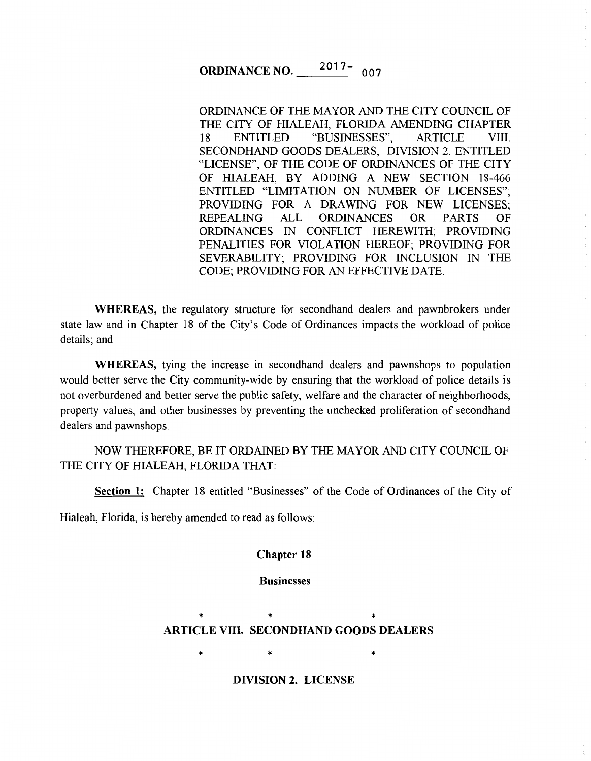# ORDINANCE NO. 2017-007

ORDINANCE OF THE MAYOR AND THE CITY COUNCIL OF THE CITY OF HIALEAH, FLORIDA AMENDING CHAPTER 18 ENTITLED "BUSINESSES", ARTICLE VIII. SECONDHAND GOODS DEALERS, DIVISION 2. ENTITLED "LICENSE", OF THE CODE OF ORDINANCES OF THE CITY OF HIALEAH, BY ADDING A NEW SECTION 18-466 ENTITLED "LIMITATION ON NUMBER OF LICENSES"; PROVIDING FOR A DRAWING FOR NEW LICENSES; REPEALING ALL ORDINANCES OR PARTS OF ORDINANCES IN CONFLICT HEREWITH; PROVIDING PENALITIES FOR VIOLATION HEREOF; PROVIDING FOR SEVERABILITY; PROVIDING FOR INCLUSION IN THE CODE; PROVIDING FOR AN EFFECTIVE DATE.

WHEREAS, the regulatory structure for secondhand dealers and pawnbrokers under state law and in Chapter 18 of the City's Code of Ordinances impacts the workload of police details; and

WHEREAS, tying the increase in secondhand dealers and pawnshops to population would better serve the City community-wide by ensuring that the workload of police details is not overburdened and better serve the public safety, welfare and the character of neighborhoods, property values, and other businesses by preventing the unchecked proliferation of secondhand dealers and pawnshops.

NOW THEREFORE, BE IT ORDAINED BY THE MAYOR AND CITY COUNCIL OF THE CITY OF HIALEAH, FLORIDA THAT:

Section 1: Chapter 18 entitled "Businesses" of the Code of Ordinances of the City of

Hialeah, Florida, is hereby amended to read as follows:

#### Chapter 18

#### Businesses

# \* \* \* ARTICLE VIII. SECONDHAND GOODS DEALERS

\* \* \*

DIVISION 2. LICENSE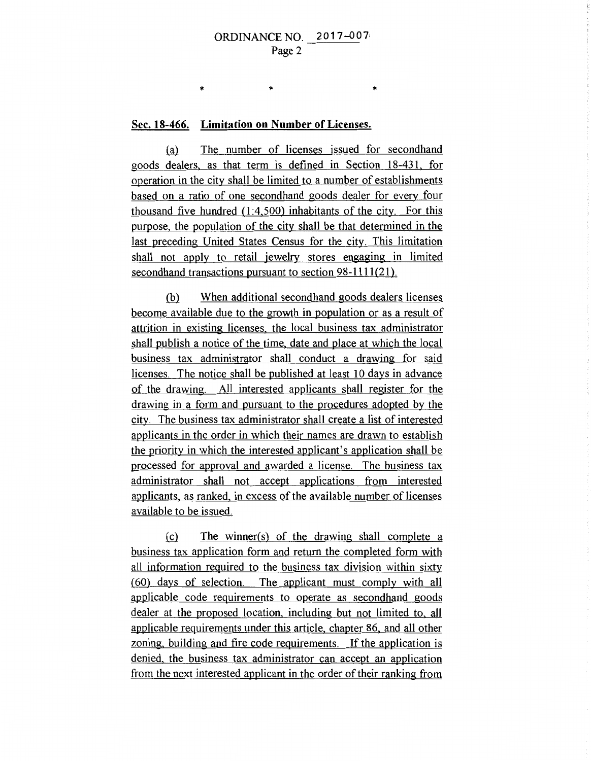\*

# Sec. **18-466. Limitation on Number of** Licenses.

\*

\*

(a) The number of licenses issued for secondhand goods dealers, as that term is defined in Section 18-431, for operation in the city shall be limited to a number of establishments based on a ratio of one secondhand goods dealer for every four thousand five hundred (1 :4.500) inhabitants of the city. For this purpose. the population of the city shall be that determined in the last preceding United States Census for the city. This limitation shall not apply to retail jewelry stores engaging in limited secondhand transactions pursuant to section 98-1111(21).

.(h) When additional secondhand goods dealers licenses become available due to the growth in population or as a result of attrition in existing licenses. the local business tax administrator shall publish a notice of the time, date and place at which the local business tax administrator shall conduct a drawing for said licenses. The notice shall be published at least 10 days in advance of the drawing. All interested applicants shall register for the drawing in a form and pursuant to the procedures adopted by the city. The business tax administrator shall create a list of interested applicants in the order in which their names are drawn to establish the priority in which the interested applicant's application shall be processed for approval and awarded a license. The business tax administrator shall not accept applications from interested applicants. as ranked, in excess of the available number of licenses available to be issued.

 $(c)$  The winner(s) of the drawing shall complete a business tax application form and return the completed form with all information required to the business tax division within sixty (60) days of selection. The applicant must comply with all applicable code requirements to operate as secondhand goods dealer at the proposed location. including but not limited to. all applicable requirements under this article. chapter 86, and all other zoning, building and fire code requirements. If the application is denied. the business tax administrator can accept an application from the next interested applicant in the order of their ranking from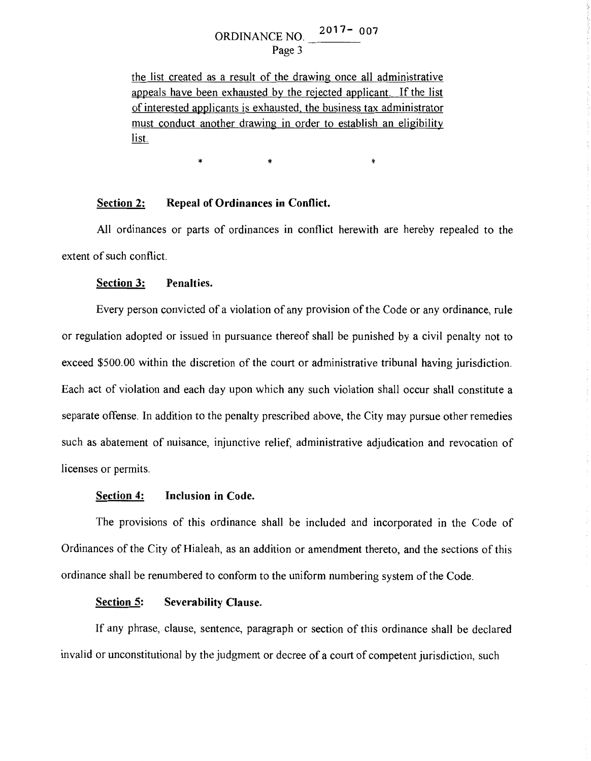#### ORDINANCE NO.  $2017 - 007$ Page 3

the list created as a result of the drawing once all administrative appeals have been exhausted by the rejected applicant. If the list of interested applicants is exhausted, the business tax administrator must conduct another drawing in order to establish an eligibility list.

\* \* \* \* \*

## Section 2: Repeal of Ordinances in Conflict.

All ordinances or parts of ordinances in conflict herewith are hereby repealed to the extent of such conflict.

#### Section 3: Penalties.

Every person convicted of a violation of any provision of the Code or any ordinance, rule or regulation adopted or issued in pursuance thereof shall be punished by a civil penalty not to exceed \$500.00 within the discretion of the court or administrative tribunal having jurisdiction. Each act of violation and each day upon which any such violation shall occur shall constitute a separate offense. In addition to the penalty prescribed above, the City may pursue other remedies such as abatement of nuisance, injunctive relief, administrative adjudication and revocation of licenses or permits.

#### Section 4: Inclusion in Code.

The provisions of this ordinance shall be included and incorporated in the Code of Ordinances of the City of Hialeah, as an addition or amendment thereto, and the sections of this ordinance shall be renumbered to conform to the uniform numbering system of the Code.

#### Section 5: Severability Clause.

If any phrase, clause, sentence, paragraph or section of this ordinance shall be declared invalid or unconstitutional by the judgment or decree of a court of competent jurisdiction, such